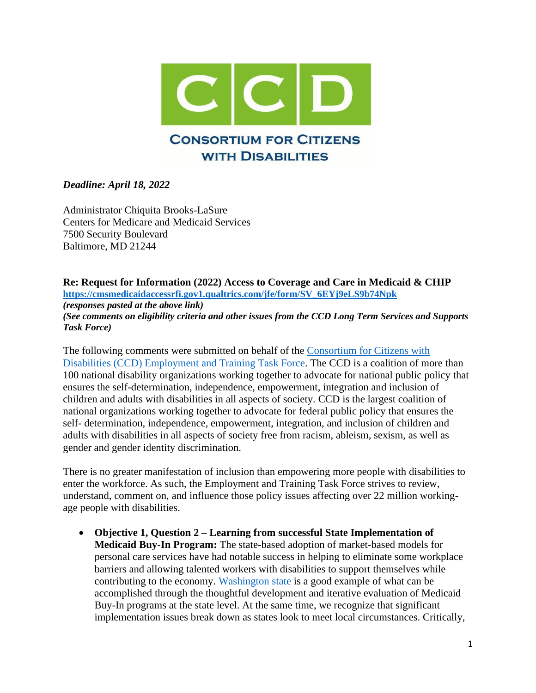

## *Deadline: April 18, 2022*

Administrator Chiquita Brooks-LaSure Centers for Medicare and Medicaid Services 7500 Security Boulevard Baltimore, MD 21244

**Re: Request for Information (2022) Access to Coverage and Care in Medicaid & CHIP [https://cmsmedicaidaccessrfi.gov1.qualtrics.com/jfe/form/SV\\_6EYj9eLS9b74Npk](https://cmsmedicaidaccessrfi.gov1.qualtrics.com/jfe/form/SV_6EYj9eLS9b74Npk)** *(responses pasted at the above link) (See comments on eligibility criteria and other issues from the CCD Long Term Services and Supports Task Force)*

The following comments were submitted on behalf of the [Consortium for Citizens with](https://www.c-c-d.org/rubriques.php?rub=taskforce.php&id_task=4)  [Disabilities \(CCD\) Employment and Training Task Force.](https://www.c-c-d.org/rubriques.php?rub=taskforce.php&id_task=4) The CCD is a coalition of more than 100 national disability organizations working together to advocate for national public policy that ensures the self-determination, independence, empowerment, integration and inclusion of children and adults with disabilities in all aspects of society. CCD is the largest coalition of national organizations working together to advocate for federal public policy that ensures the self- determination, independence, empowerment, integration, and inclusion of children and adults with disabilities in all aspects of society free from racism, ableism, sexism, as well as gender and gender identity discrimination.

There is no greater manifestation of inclusion than empowering more people with disabilities to enter the workforce. As such, the Employment and Training Task Force strives to review, understand, comment on, and influence those policy issues affecting over 22 million workingage people with disabilities.

• **Objective 1, Question 2 – Learning from successful State Implementation of Medicaid Buy-In Program:** The state-based adoption of market-based models for personal care services have had notable success in helping to eliminate some workplace barriers and allowing talented workers with disabilities to support themselves while contributing to the economy. [Washington state](https://www.bu.edu/drrk/research-syntheses/psychiatric-disabilities/medicaid-buy-in/) is a good example of what can be accomplished through the thoughtful development and iterative evaluation of Medicaid Buy-In programs at the state level. At the same time, we recognize that significant implementation issues break down as states look to meet local circumstances. Critically,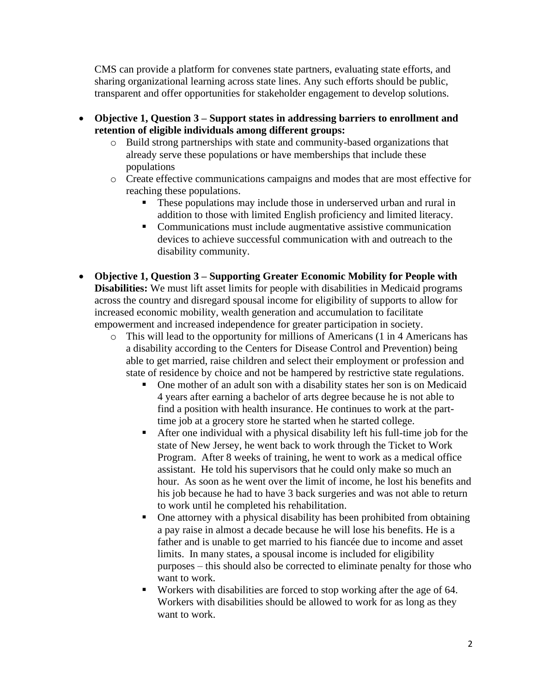CMS can provide a platform for convenes state partners, evaluating state efforts, and sharing organizational learning across state lines. Any such efforts should be public, transparent and offer opportunities for stakeholder engagement to develop solutions.

- **Objective 1, Question 3 – Support states in addressing barriers to enrollment and retention of eligible individuals among different groups:**
	- o Build strong partnerships with state and community-based organizations that already serve these populations or have memberships that include these populations
	- o Create effective communications campaigns and modes that are most effective for reaching these populations.
		- These populations may include those in underserved urban and rural in addition to those with limited English proficiency and limited literacy.
		- Communications must include augmentative assistive communication devices to achieve successful communication with and outreach to the disability community.
- **Objective 1, Question 3 – Supporting Greater Economic Mobility for People with Disabilities:** We must lift asset limits for people with disabilities in Medicaid programs across the country and disregard spousal income for eligibility of supports to allow for increased economic mobility, wealth generation and accumulation to facilitate empowerment and increased independence for greater participation in society.
	- o This will lead to the opportunity for millions of Americans (1 in 4 Americans has a disability according to the Centers for Disease Control and Prevention) being able to get married, raise children and select their employment or profession and state of residence by choice and not be hampered by restrictive state regulations.
		- One mother of an adult son with a disability states her son is on Medicaid 4 years after earning a bachelor of arts degree because he is not able to find a position with health insurance. He continues to work at the parttime job at a grocery store he started when he started college.
		- After one individual with a physical disability left his full-time job for the state of New Jersey, he went back to work through the Ticket to Work Program. After 8 weeks of training, he went to work as a medical office assistant. He told his supervisors that he could only make so much an hour. As soon as he went over the limit of income, he lost his benefits and his job because he had to have 3 back surgeries and was not able to return to work until he completed his rehabilitation.
		- One attorney with a physical disability has been prohibited from obtaining a pay raise in almost a decade because he will lose his benefits. He is a father and is unable to get married to his fiancée due to income and asset limits. In many states, a spousal income is included for eligibility purposes – this should also be corrected to eliminate penalty for those who want to work.
		- Workers with disabilities are forced to stop working after the age of 64. Workers with disabilities should be allowed to work for as long as they want to work.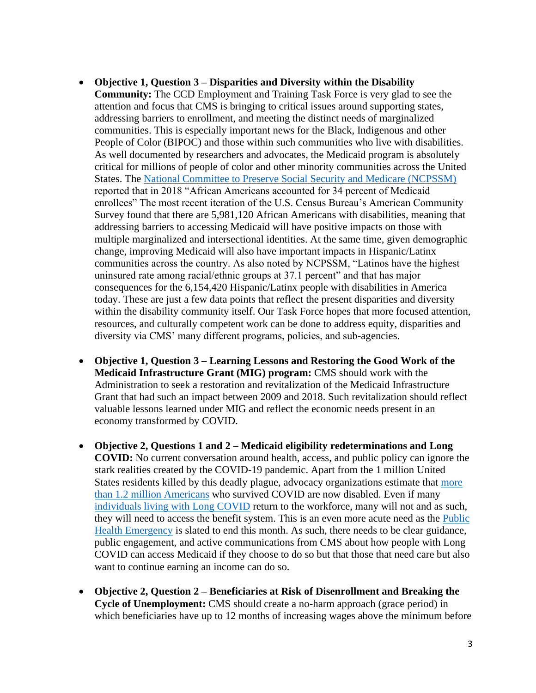- **Objective 1, Question 3 – Disparities and Diversity within the Disability**
- **Community:** The CCD Employment and Training Task Force is very glad to see the attention and focus that CMS is bringing to critical issues around supporting states, addressing barriers to enrollment, and meeting the distinct needs of marginalized communities. This is especially important news for the Black, Indigenous and other People of Color (BIPOC) and those within such communities who live with disabilities. As well documented by researchers and advocates, the Medicaid program is absolutely critical for millions of people of color and other minority communities across the United States. The [National Committee to Preserve Social Security and Medicare \(NCPSSM\)](https://www.ncpssm.org/documents/medicare-policy-papers/medicare-medicaid-important-african-americans/#:~:text=Medicaid%20is%20an%20especially%20important,in%20coverage%20gaps%20in%20Medicare.) reported that in 2018 "African Americans accounted for 34 percent of Medicaid enrollees" The most recent iteration of the U.S. Census Bureau's American Community Survey found that there are 5,981,120 African Americans with disabilities, meaning that addressing barriers to accessing Medicaid will have positive impacts on those with multiple marginalized and intersectional identities. At the same time, given demographic change, improving Medicaid will also have important impacts in Hispanic/Latinx communities across the country. As also noted by NCPSSM, "Latinos have the highest uninsured rate among racial/ethnic groups at 37.1 percent" and that has major consequences for the 6,154,420 Hispanic/Latinx people with disabilities in America today. These are just a few data points that reflect the present disparities and diversity within the disability community itself. Our Task Force hopes that more focused attention, resources, and culturally competent work can be done to address equity, disparities and diversity via CMS' many different programs, policies, and sub-agencies.
- **Objective 1, Question 3 – Learning Lessons and Restoring the Good Work of the Medicaid Infrastructure Grant (MIG) program:** CMS should work with the Administration to seek a restoration and revitalization of the Medicaid Infrastructure Grant that had such an impact between 2009 and 2018. Such revitalization should reflect valuable lessons learned under MIG and reflect the economic needs present in an economy transformed by COVID.
- **Objective 2, Questions 1 and 2 – Medicaid eligibility redeterminations and Long COVID:** No current conversation around health, access, and public policy can ignore the stark realities created by the COVID-19 pandemic. Apart from the 1 million United States residents killed by this deadly plague, advocacy organizations estimate that [more](https://www.americanprogress.org/article/covid-19-likely-resulted-in-1-2-million-more-disabled-people-by-the-end-of-2021-workplaces-and-policy-will-need-to-adapt/)  [than 1.2 million Americans](https://www.americanprogress.org/article/covid-19-likely-resulted-in-1-2-million-more-disabled-people-by-the-end-of-2021-workplaces-and-policy-will-need-to-adapt/) who survived COVID are now disabled. Even if many [individuals living with Long COVID](https://www.washingtonpost.com/business/2022/03/08/long-covid-disability-benefits/) return to the workforce, many will not and as such, they will need to access the benefit system. This is an even more acute need as the Public [Health Emergency](https://rollcall.com/2022/03/23/administration-faces-risks-in-decision-on-public-health-emergency/) is slated to end this month. As such, there needs to be clear guidance, public engagement, and active communications from CMS about how people with Long COVID can access Medicaid if they choose to do so but that those that need care but also want to continue earning an income can do so.
- **Objective 2, Question 2 – Beneficiaries at Risk of Disenrollment and Breaking the Cycle of Unemployment:** CMS should create a no-harm approach (grace period) in which beneficiaries have up to 12 months of increasing wages above the minimum before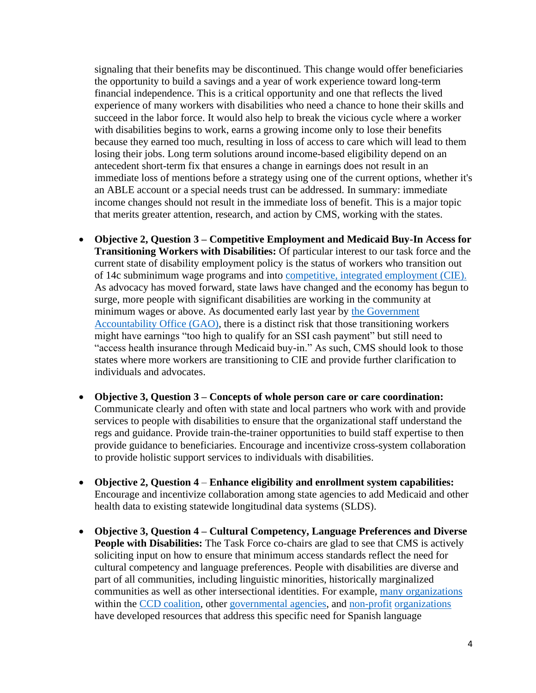signaling that their benefits may be discontinued. This change would offer beneficiaries the opportunity to build a savings and a year of work experience toward long-term financial independence. This is a critical opportunity and one that reflects the lived experience of many workers with disabilities who need a chance to hone their skills and succeed in the labor force. It would also help to break the vicious cycle where a worker with disabilities begins to work, earns a growing income only to lose their benefits because they earned too much, resulting in loss of access to care which will lead to them losing their jobs. Long term solutions around income-based eligibility depend on an antecedent short-term fix that ensures a change in earnings does not result in an immediate loss of mentions before a strategy using one of the current options, whether it's an ABLE account or a special needs trust can be addressed. In summary: immediate income changes should not result in the immediate loss of benefit. This is a major topic that merits greater attention, research, and action by CMS, working with the states.

- **Objective 2, Question 3 – Competitive Employment and Medicaid Buy-In Access for Transitioning Workers with Disabilities:** Of particular interest to our task force and the current state of disability employment policy is the status of workers who transition out of 14c subminimum wage programs and into [competitive, integrated employment](https://www.dol.gov/agencies/odep/program-areas/integrated-employment) (CIE). As advocacy has moved forward, state laws have changed and the economy has begun to surge, more people with significant disabilities are working in the community at minimum wages or above. As documented early last year by [the Government](https://www.gao.gov/assets/720/712857.pdf)  [Accountability Office \(GAO\),](https://www.gao.gov/assets/720/712857.pdf) there is a distinct risk that those transitioning workers might have earnings "too high to qualify for an SSI cash payment" but still need to "access health insurance through Medicaid buy-in." As such, CMS should look to those states where more workers are transitioning to CIE and provide further clarification to individuals and advocates.
- **Objective 3, Question 3 – Concepts of whole person care or care coordination:**  Communicate clearly and often with state and local partners who work with and provide services to people with disabilities to ensure that the organizational staff understand the regs and guidance. Provide train-the-trainer opportunities to build staff expertise to then provide guidance to beneficiaries. Encourage and incentivize cross-system collaboration to provide holistic support services to individuals with disabilities.
- **Objective 2, Question 4 Enhance eligibility and enrollment system capabilities:** Encourage and incentivize collaboration among state agencies to add Medicaid and other health data to existing statewide longitudinal data systems (SLDS).
- **Objective 3, Question 4 – Cultural Competency, Language Preferences and Diverse People with Disabilities:** The Task Force co-chairs are glad to see that CMS is actively soliciting input on how to ensure that minimum access standards reflect the need for cultural competency and language preferences. People with disabilities are diverse and part of all communities, including linguistic minorities, historically marginalized communities as well as other intersectional identities. For example, [many organizations](https://naric.com/?q=en/content/spanish-language-resources) within the [CCD coalition,](https://www.aucd.org/template/page.cfm?id=950) other [governmental agencies,](https://acl.gov/programs/strengthening-aging-and-disability-networks/diversity-and-cultural-competency) and [non-profit](https://www.respectability.org/espanol/) organizations have developed resources that address this specific need for Spanish language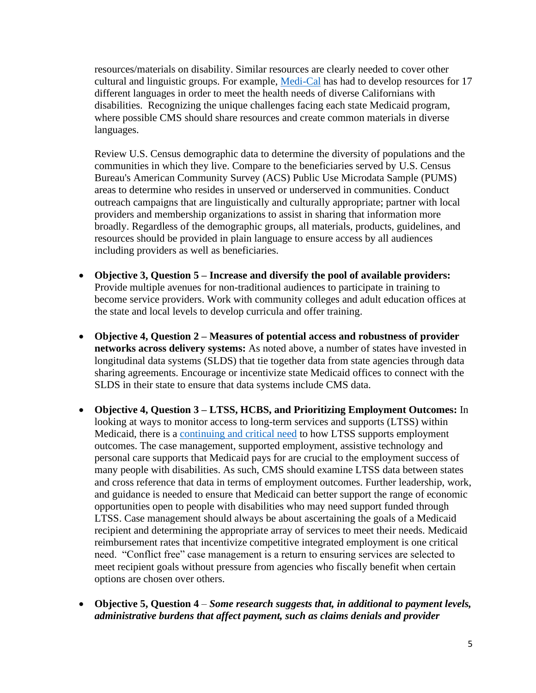resources/materials on disability. Similar resources are clearly needed to cover other cultural and linguistic groups. For example, [Medi-Cal](https://data.chhs.ca.gov/dataset/primary-language-of-newly-medi-cal-eligible-individuals) has had to develop resources for 17 different languages in order to meet the health needs of diverse Californians with disabilities. Recognizing the unique challenges facing each state Medicaid program, where possible CMS should share resources and create common materials in diverse languages.

Review U.S. Census demographic data to determine the diversity of populations and the communities in which they live. Compare to the beneficiaries served by U.S. Census Bureau's American Community Survey (ACS) Public Use Microdata Sample (PUMS) areas to determine who resides in unserved or underserved in communities. Conduct outreach campaigns that are linguistically and culturally appropriate; partner with local providers and membership organizations to assist in sharing that information more broadly. Regardless of the demographic groups, all materials, products, guidelines, and resources should be provided in plain language to ensure access by all audiences including providers as well as beneficiaries.

- **Objective 3, Question 5 – Increase and diversify the pool of available providers:**  Provide multiple avenues for non-traditional audiences to participate in training to become service providers. Work with community colleges and adult education offices at the state and local levels to develop curricula and offer training.
- **Objective 4, Question 2 – Measures of potential access and robustness of provider networks across delivery systems:** As noted above, a number of states have invested in longitudinal data systems (SLDS) that tie together data from state agencies through data sharing agreements. Encourage or incentivize state Medicaid offices to connect with the SLDS in their state to ensure that data systems include CMS data.
- **Objective 4, Question 3 – LTSS, HCBS, and Prioritizing Employment Outcomes:** In looking at ways to monitor access to long-term services and supports (LTSS) within Medicaid, there is a [continuing and critical need](https://apse.org/legislative-advocacy/preserving-medicaid-hcbs/fact-sheet/#i) to how LTSS supports employment outcomes. The case management, supported employment, assistive technology and personal care supports that Medicaid pays for are crucial to the employment success of many people with disabilities. As such, CMS should examine LTSS data between states and cross reference that data in terms of employment outcomes. Further leadership, work, and guidance is needed to ensure that Medicaid can better support the range of economic opportunities open to people with disabilities who may need support funded through LTSS. Case management should always be about ascertaining the goals of a Medicaid recipient and determining the appropriate array of services to meet their needs. Medicaid reimbursement rates that incentivize competitive integrated employment is one critical need. "Conflict free" case management is a return to ensuring services are selected to meet recipient goals without pressure from agencies who fiscally benefit when certain options are chosen over others.
- **Objective 5, Question 4** *Some research suggests that, in additional to payment levels, administrative burdens that affect payment, such as claims denials and provider*